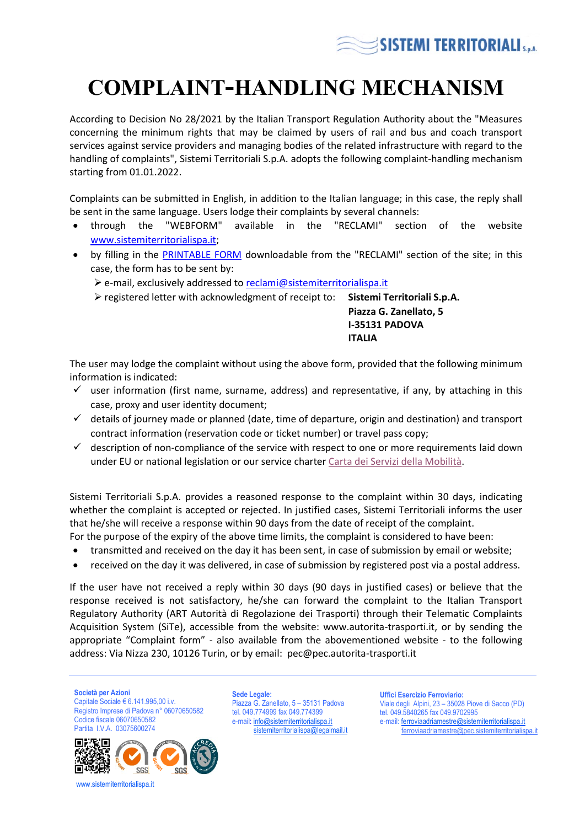

## **COMPLAINT-HANDLING MECHANISM**

According to Decision No 28/2021 by the Italian Transport Regulation Authority about the "Measures concerning the minimum rights that may be claimed by users of rail and bus and coach transport services against service providers and managing bodies of the related infrastructure with regard to the handling of complaints", Sistemi Territoriali S.p.A. adopts the following complaint-handling mechanism starting from 01.01.2022.

Complaints can be submitted in English, in addition to the Italian language; in this case, the reply shall be sent in the same language. Users lodge their complaints by several channels:

- through the "WEBFORM" available in the "RECLAMI" section of the website [www.sistemiterritorialispa.it;](http://www.sistemiterritorialispa.it/)
- by filling in the [PRINTABLE FORM](http://www.sistemiterritorialispa.it/DatiFiles/News/90/Allegato1.pdf) downloadable from the "RECLAMI" section of the site; in this case, the form has to be sent by:
	- ➢ e-mail, exclusively addressed to [reclami@sistemiterritorialispa.it](mailto:reclami@sistemiterritorialispa.it)
	- ➢ registered letter with acknowledgment of receipt to: **Sistemi Territoriali S.p.A.**

**Piazza G. Zanellato, 5 I-35131 PADOVA ITALIA**

The user may lodge the complaint without using the above form, provided that the following minimum information is indicated:

- $\checkmark$  user information (first name, surname, address) and representative, if any, by attaching in this case, proxy and user identity document;
- details of journey made or planned (date, time of departure, origin and destination) and transport contract information (reservation code or ticket number) or travel pass copy;
- $\checkmark$  description of non-compliance of the service with respect to one or more requirements laid down under EU or national legislation or our service charter [Carta dei Servizi della Mobilità.](http://www.sistemiterritorialispa.it/DatiFiles/News/353/Allegato1.pdf)

Sistemi Territoriali S.p.A. provides a reasoned response to the complaint within 30 days, indicating whether the complaint is accepted or rejected. In justified cases, Sistemi Territoriali informs the user that he/she will receive a response within 90 days from the date of receipt of the complaint.

- For the purpose of the expiry of the above time limits, the complaint is considered to have been:
- transmitted and received on the day it has been sent, in case of submission by email or website;
- received on the day it was delivered, in case of submission by registered post via a postal address.

If the user have not received a reply within 30 days (90 days in justified cases) or believe that the response received is not satisfactory, he/she can forward the complaint to the Italian Transport Regulatory Authority (ART Autorità di Regolazione dei Trasporti) through their Telematic Complaints Acquisition System (SiTe), accessible from the website: www.autorita-trasporti.it, or by sending the appropriate "Complaint form" - also available from the abovementioned website - to the following address: Via Nizza 230, 10126 Turin, or by email: pec@pec.autorita-trasporti.it

**Società per Azioni** Capitale Sociale € 6.141.995,00 i.v.

Registro Imprese di Padova n° 06070650582 Codice fiscale 06070650582 Partita I.V.A. 03075600274



www.sistemiterritorialispa.it

**Sede Legale:** Piazza G. Zanellato, 5 – 35131 Padova tel. 049.774999 fax 049.774399 e-mail[: info@sistemiterritorialispa.it](mailto:info@sistemiterritorialispa.it) [sistemiterritorialispa@legalmail.it](mailto:sistemiterritorialispa@legalmail.it)

**Uffici Esercizio Ferroviario:** Viale degli Alpini, 23 – 35028 Piove di Sacco (PD) tel. 049.5840265 fax 049.9702995 e-mail[: ferroviaadriamestre@sistemiterritorialispa.it](mailto:ferroviaadriamestre@sistemiterritorialispa.it) [ferroviaadriamestre@pec.sistemiterritorialispa.it](mailto:ferroviaadriamestre@pec.sistemiterritorialispa.it)